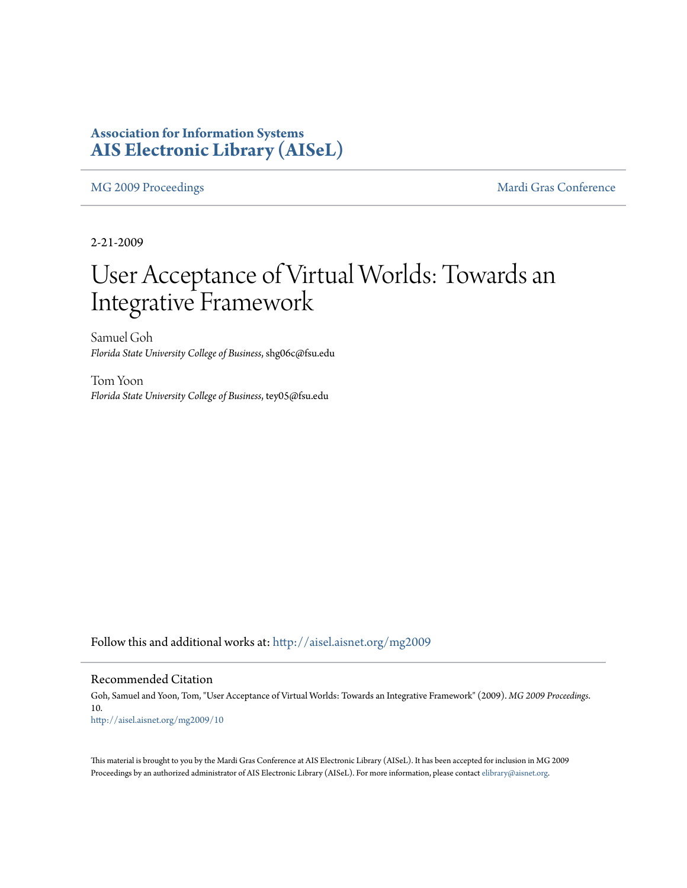### **Association for Information Systems [AIS Electronic Library \(AISeL\)](http://aisel.aisnet.org?utm_source=aisel.aisnet.org%2Fmg2009%2F10&utm_medium=PDF&utm_campaign=PDFCoverPages)**

[MG 2009 Proceedings](http://aisel.aisnet.org/mg2009?utm_source=aisel.aisnet.org%2Fmg2009%2F10&utm_medium=PDF&utm_campaign=PDFCoverPages) and the [Mardi Gras Conference](http://aisel.aisnet.org/mg?utm_source=aisel.aisnet.org%2Fmg2009%2F10&utm_medium=PDF&utm_campaign=PDFCoverPages) Mardi Gras Conference

2-21-2009

# User Acceptance of Virtual Worlds: Towards an Integrative Framework

Samuel Goh *Florida State University College of Business*, shg06c@fsu.edu

Tom Yoon *Florida State University College of Business*, tey05@fsu.edu

Follow this and additional works at: [http://aisel.aisnet.org/mg2009](http://aisel.aisnet.org/mg2009?utm_source=aisel.aisnet.org%2Fmg2009%2F10&utm_medium=PDF&utm_campaign=PDFCoverPages)

#### Recommended Citation

Goh, Samuel and Yoon, Tom, "User Acceptance of Virtual Worlds: Towards an Integrative Framework" (2009). *MG 2009 Proceedings*. 10. [http://aisel.aisnet.org/mg2009/10](http://aisel.aisnet.org/mg2009/10?utm_source=aisel.aisnet.org%2Fmg2009%2F10&utm_medium=PDF&utm_campaign=PDFCoverPages)

This material is brought to you by the Mardi Gras Conference at AIS Electronic Library (AISeL). It has been accepted for inclusion in MG 2009 Proceedings by an authorized administrator of AIS Electronic Library (AISeL). For more information, please contact [elibrary@aisnet.org](mailto:elibrary@aisnet.org%3E).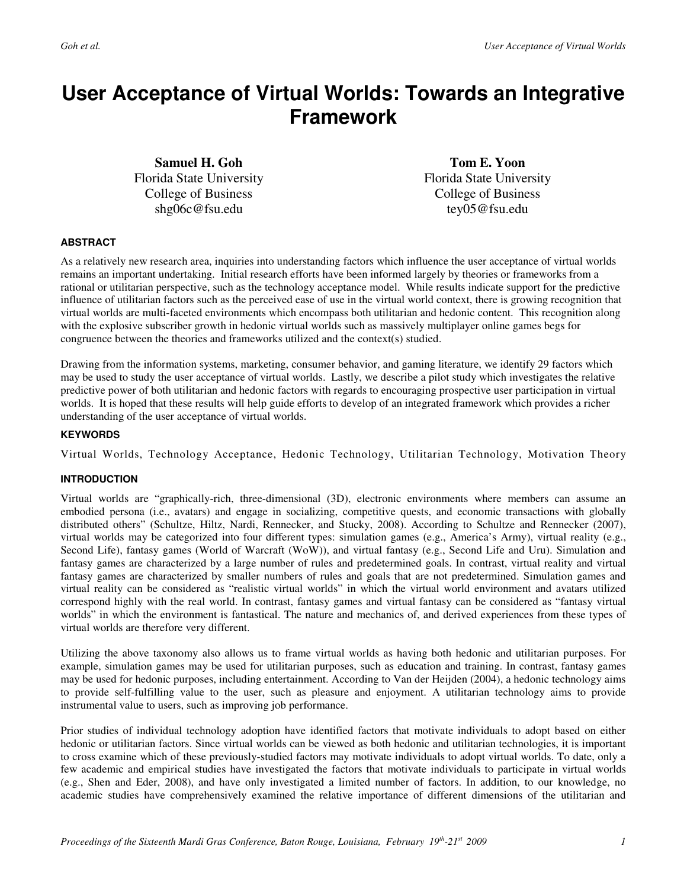## **User Acceptance of Virtual Worlds: Towards an Integrative Framework**

**Samuel H. Goh**  Florida State University College of Business shg06c@fsu.edu

**Tom E. Yoon**  Florida State University College of Business tey05@fsu.edu

#### **ABSTRACT**

As a relatively new research area, inquiries into understanding factors which influence the user acceptance of virtual worlds remains an important undertaking. Initial research efforts have been informed largely by theories or frameworks from a rational or utilitarian perspective, such as the technology acceptance model. While results indicate support for the predictive influence of utilitarian factors such as the perceived ease of use in the virtual world context, there is growing recognition that virtual worlds are multi-faceted environments which encompass both utilitarian and hedonic content. This recognition along with the explosive subscriber growth in hedonic virtual worlds such as massively multiplayer online games begs for congruence between the theories and frameworks utilized and the context(s) studied.

Drawing from the information systems, marketing, consumer behavior, and gaming literature, we identify 29 factors which may be used to study the user acceptance of virtual worlds. Lastly, we describe a pilot study which investigates the relative predictive power of both utilitarian and hedonic factors with regards to encouraging prospective user participation in virtual worlds. It is hoped that these results will help guide efforts to develop of an integrated framework which provides a richer understanding of the user acceptance of virtual worlds.

#### **KEYWORDS**

Virtual Worlds, Technology Acceptance, Hedonic Technology, Utilitarian Technology, Motivation Theory

#### **INTRODUCTION**

Virtual worlds are "graphically-rich, three-dimensional (3D), electronic environments where members can assume an embodied persona (i.e., avatars) and engage in socializing, competitive quests, and economic transactions with globally distributed others" (Schultze, Hiltz, Nardi, Rennecker, and Stucky, 2008). According to Schultze and Rennecker (2007), virtual worlds may be categorized into four different types: simulation games (e.g., America's Army), virtual reality (e.g., Second Life), fantasy games (World of Warcraft (WoW)), and virtual fantasy (e.g., Second Life and Uru). Simulation and fantasy games are characterized by a large number of rules and predetermined goals. In contrast, virtual reality and virtual fantasy games are characterized by smaller numbers of rules and goals that are not predetermined. Simulation games and virtual reality can be considered as "realistic virtual worlds" in which the virtual world environment and avatars utilized correspond highly with the real world. In contrast, fantasy games and virtual fantasy can be considered as "fantasy virtual worlds" in which the environment is fantastical. The nature and mechanics of, and derived experiences from these types of virtual worlds are therefore very different.

Utilizing the above taxonomy also allows us to frame virtual worlds as having both hedonic and utilitarian purposes. For example, simulation games may be used for utilitarian purposes, such as education and training. In contrast, fantasy games may be used for hedonic purposes, including entertainment. According to Van der Heijden (2004), a hedonic technology aims to provide self-fulfilling value to the user, such as pleasure and enjoyment. A utilitarian technology aims to provide instrumental value to users, such as improving job performance.

Prior studies of individual technology adoption have identified factors that motivate individuals to adopt based on either hedonic or utilitarian factors. Since virtual worlds can be viewed as both hedonic and utilitarian technologies, it is important to cross examine which of these previously-studied factors may motivate individuals to adopt virtual worlds. To date, only a few academic and empirical studies have investigated the factors that motivate individuals to participate in virtual worlds (e.g., Shen and Eder, 2008), and have only investigated a limited number of factors. In addition, to our knowledge, no academic studies have comprehensively examined the relative importance of different dimensions of the utilitarian and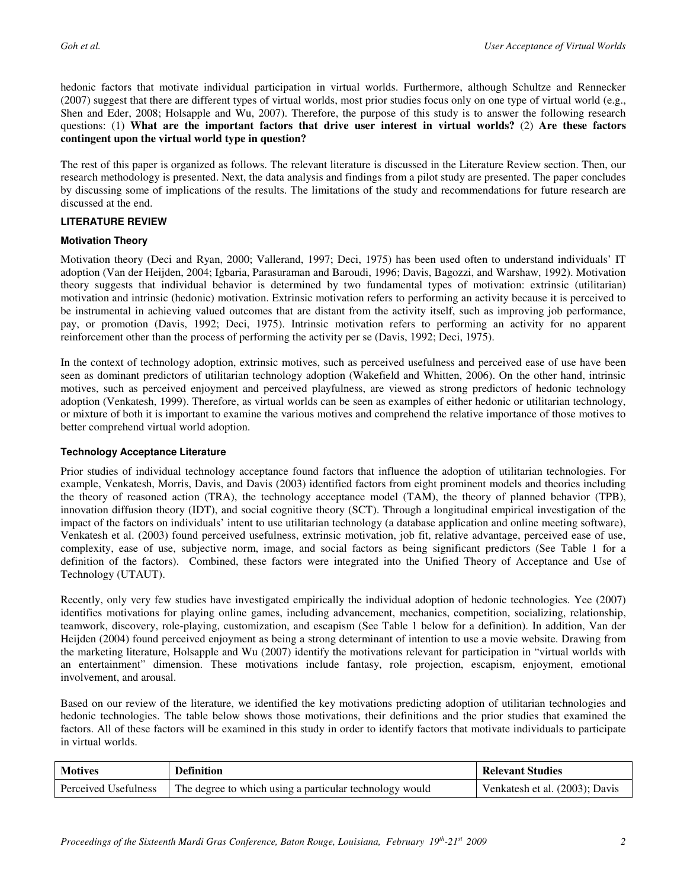hedonic factors that motivate individual participation in virtual worlds. Furthermore, although Schultze and Rennecker (2007) suggest that there are different types of virtual worlds, most prior studies focus only on one type of virtual world (e.g., Shen and Eder, 2008; Holsapple and Wu, 2007). Therefore, the purpose of this study is to answer the following research questions: (1) **What are the important factors that drive user interest in virtual worlds?** (2) **Are these factors contingent upon the virtual world type in question?**

The rest of this paper is organized as follows. The relevant literature is discussed in the Literature Review section. Then, our research methodology is presented. Next, the data analysis and findings from a pilot study are presented. The paper concludes by discussing some of implications of the results. The limitations of the study and recommendations for future research are discussed at the end.

#### **LITERATURE REVIEW**

#### **Motivation Theory**

Motivation theory (Deci and Ryan, 2000; Vallerand, 1997; Deci, 1975) has been used often to understand individuals' IT adoption (Van der Heijden, 2004; Igbaria, Parasuraman and Baroudi, 1996; Davis, Bagozzi, and Warshaw, 1992). Motivation theory suggests that individual behavior is determined by two fundamental types of motivation: extrinsic (utilitarian) motivation and intrinsic (hedonic) motivation. Extrinsic motivation refers to performing an activity because it is perceived to be instrumental in achieving valued outcomes that are distant from the activity itself, such as improving job performance, pay, or promotion (Davis, 1992; Deci, 1975). Intrinsic motivation refers to performing an activity for no apparent reinforcement other than the process of performing the activity per se (Davis, 1992; Deci, 1975).

In the context of technology adoption, extrinsic motives, such as perceived usefulness and perceived ease of use have been seen as dominant predictors of utilitarian technology adoption (Wakefield and Whitten, 2006). On the other hand, intrinsic motives, such as perceived enjoyment and perceived playfulness, are viewed as strong predictors of hedonic technology adoption (Venkatesh, 1999). Therefore, as virtual worlds can be seen as examples of either hedonic or utilitarian technology, or mixture of both it is important to examine the various motives and comprehend the relative importance of those motives to better comprehend virtual world adoption.

#### **Technology Acceptance Literature**

Prior studies of individual technology acceptance found factors that influence the adoption of utilitarian technologies. For example, Venkatesh, Morris, Davis, and Davis (2003) identified factors from eight prominent models and theories including the theory of reasoned action (TRA), the technology acceptance model (TAM), the theory of planned behavior (TPB), innovation diffusion theory (IDT), and social cognitive theory (SCT). Through a longitudinal empirical investigation of the impact of the factors on individuals' intent to use utilitarian technology (a database application and online meeting software), Venkatesh et al. (2003) found perceived usefulness, extrinsic motivation, job fit, relative advantage, perceived ease of use, complexity, ease of use, subjective norm, image, and social factors as being significant predictors (See Table 1 for a definition of the factors). Combined, these factors were integrated into the Unified Theory of Acceptance and Use of Technology (UTAUT).

Recently, only very few studies have investigated empirically the individual adoption of hedonic technologies. Yee (2007) identifies motivations for playing online games, including advancement, mechanics, competition, socializing, relationship, teamwork, discovery, role-playing, customization, and escapism (See Table 1 below for a definition). In addition, Van der Heijden (2004) found perceived enjoyment as being a strong determinant of intention to use a movie website. Drawing from the marketing literature, Holsapple and Wu (2007) identify the motivations relevant for participation in "virtual worlds with an entertainment" dimension. These motivations include fantasy, role projection, escapism, enjoyment, emotional involvement, and arousal.

Based on our review of the literature, we identified the key motivations predicting adoption of utilitarian technologies and hedonic technologies. The table below shows those motivations, their definitions and the prior studies that examined the factors. All of these factors will be examined in this study in order to identify factors that motivate individuals to participate in virtual worlds.

| <b>Motives</b>       | <b>Definition</b>                                       | <b>Relevant Studies</b>        |
|----------------------|---------------------------------------------------------|--------------------------------|
| Perceived Usefulness | The degree to which using a particular technology would | Venkatesh et al. (2003); Davis |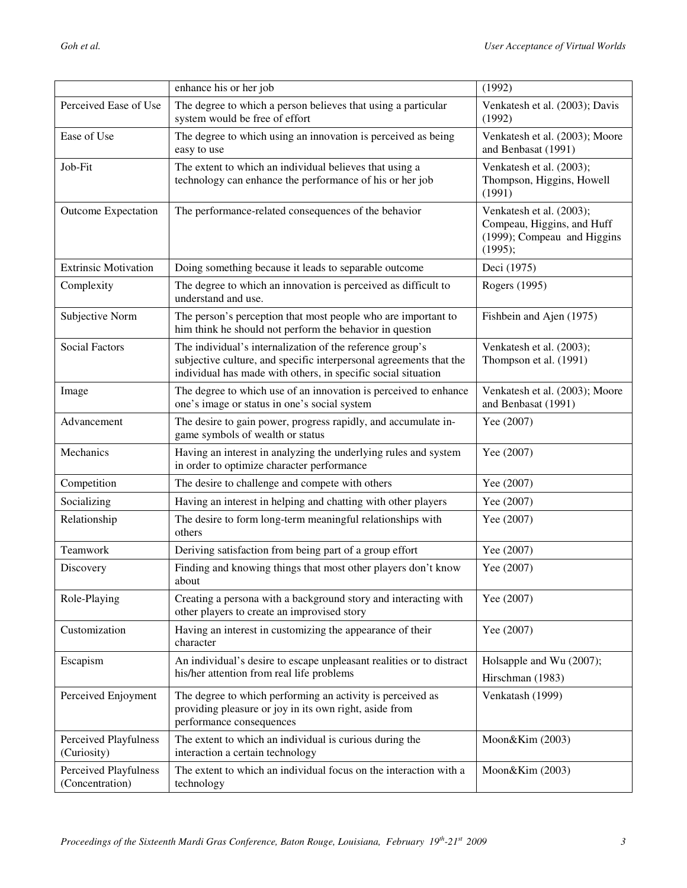|                                                 | enhance his or her job                                                                                                                                                                           | (1992)                                                                                           |
|-------------------------------------------------|--------------------------------------------------------------------------------------------------------------------------------------------------------------------------------------------------|--------------------------------------------------------------------------------------------------|
| Perceived Ease of Use                           | The degree to which a person believes that using a particular<br>system would be free of effort                                                                                                  | Venkatesh et al. (2003); Davis<br>(1992)                                                         |
| Ease of Use                                     | The degree to which using an innovation is perceived as being<br>easy to use                                                                                                                     | Venkatesh et al. (2003); Moore<br>and Benbasat (1991)                                            |
| Job-Fit                                         | The extent to which an individual believes that using a<br>technology can enhance the performance of his or her job                                                                              | Venkatesh et al. (2003);<br>Thompson, Higgins, Howell<br>(1991)                                  |
| <b>Outcome Expectation</b>                      | The performance-related consequences of the behavior                                                                                                                                             | Venkatesh et al. (2003);<br>Compeau, Higgins, and Huff<br>(1999); Compeau and Higgins<br>(1995); |
| <b>Extrinsic Motivation</b>                     | Doing something because it leads to separable outcome                                                                                                                                            | Deci (1975)                                                                                      |
| Complexity                                      | The degree to which an innovation is perceived as difficult to<br>understand and use.                                                                                                            | Rogers (1995)                                                                                    |
| Subjective Norm                                 | The person's perception that most people who are important to<br>him think he should not perform the behavior in question                                                                        | Fishbein and Ajen (1975)                                                                         |
| <b>Social Factors</b>                           | The individual's internalization of the reference group's<br>subjective culture, and specific interpersonal agreements that the<br>individual has made with others, in specific social situation | Venkatesh et al. (2003);<br>Thompson et al. (1991)                                               |
| Image                                           | The degree to which use of an innovation is perceived to enhance<br>one's image or status in one's social system                                                                                 | Venkatesh et al. (2003); Moore<br>and Benbasat (1991)                                            |
| Advancement                                     | The desire to gain power, progress rapidly, and accumulate in-<br>game symbols of wealth or status                                                                                               | Yee (2007)                                                                                       |
| Mechanics                                       | Having an interest in analyzing the underlying rules and system<br>in order to optimize character performance                                                                                    | Yee (2007)                                                                                       |
| Competition                                     | The desire to challenge and compete with others                                                                                                                                                  | Yee (2007)                                                                                       |
| Socializing                                     | Having an interest in helping and chatting with other players                                                                                                                                    | Yee (2007)                                                                                       |
| Relationship                                    | The desire to form long-term meaningful relationships with<br>others                                                                                                                             | Yee (2007)                                                                                       |
| Teamwork                                        | Deriving satisfaction from being part of a group effort                                                                                                                                          | Yee (2007)                                                                                       |
| Discovery                                       | Finding and knowing things that most other players don't know<br>about                                                                                                                           | Yee (2007)                                                                                       |
| Role-Playing                                    | Creating a persona with a background story and interacting with<br>other players to create an improvised story                                                                                   | Yee (2007)                                                                                       |
| Customization                                   | Having an interest in customizing the appearance of their<br>character                                                                                                                           | Yee (2007)                                                                                       |
| Escapism                                        | An individual's desire to escape unpleasant realities or to distract<br>his/her attention from real life problems                                                                                | Holsapple and Wu (2007);<br>Hirschman (1983)                                                     |
| Perceived Enjoyment                             | The degree to which performing an activity is perceived as<br>providing pleasure or joy in its own right, aside from<br>performance consequences                                                 | Venkatash (1999)                                                                                 |
| <b>Perceived Playfulness</b><br>(Curiosity)     | The extent to which an individual is curious during the<br>interaction a certain technology                                                                                                      | Moon&Kim (2003)                                                                                  |
| <b>Perceived Playfulness</b><br>(Concentration) | The extent to which an individual focus on the interaction with a<br>technology                                                                                                                  | Moon&Kim (2003)                                                                                  |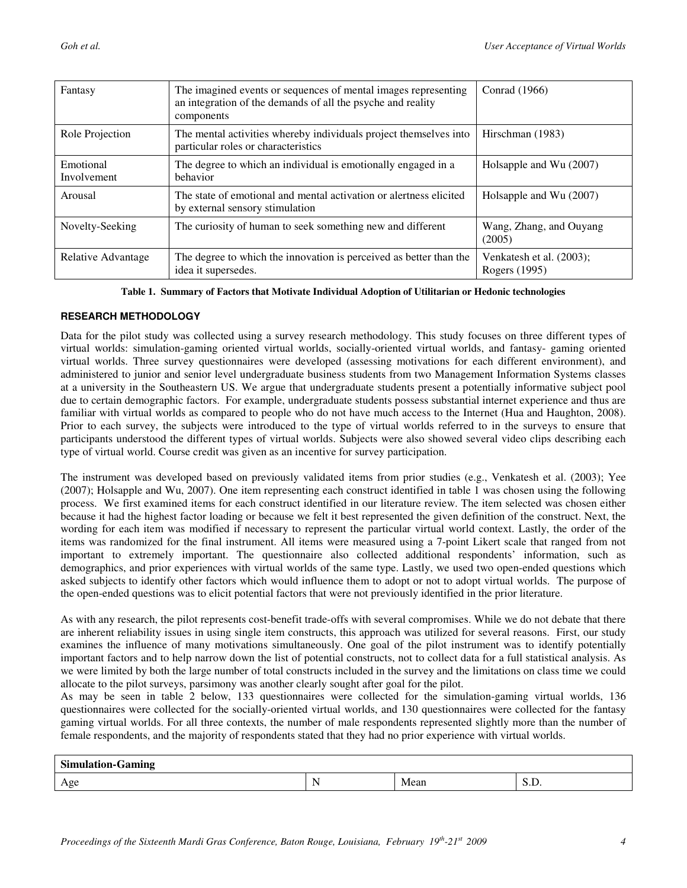| Fantasy                  | The imagined events or sequences of mental images representing<br>an integration of the demands of all the psyche and reality<br>components | Conrad (1966)                             |
|--------------------------|---------------------------------------------------------------------------------------------------------------------------------------------|-------------------------------------------|
| Role Projection          | The mental activities whereby individuals project themselves into<br>particular roles or characteristics                                    | Hirschman (1983)                          |
| Emotional<br>Involvement | The degree to which an individual is emotionally engaged in a<br>behavior                                                                   | Holsapple and Wu (2007)                   |
| Arousal                  | The state of emotional and mental activation or alertness elicited<br>by external sensory stimulation                                       | Holsapple and Wu (2007)                   |
| Novelty-Seeking          | The curiosity of human to seek something new and different                                                                                  | Wang, Zhang, and Ouyang<br>(2005)         |
| Relative Advantage       | The degree to which the innovation is perceived as better than the<br>idea it supersedes.                                                   | Venkatesh et al. (2003);<br>Rogers (1995) |

**Table 1. Summary of Factors that Motivate Individual Adoption of Utilitarian or Hedonic technologies** 

#### **RESEARCH METHODOLOGY**

Data for the pilot study was collected using a survey research methodology. This study focuses on three different types of virtual worlds: simulation-gaming oriented virtual worlds, socially-oriented virtual worlds, and fantasy- gaming oriented virtual worlds. Three survey questionnaires were developed (assessing motivations for each different environment), and administered to junior and senior level undergraduate business students from two Management Information Systems classes at a university in the Southeastern US. We argue that undergraduate students present a potentially informative subject pool due to certain demographic factors. For example, undergraduate students possess substantial internet experience and thus are familiar with virtual worlds as compared to people who do not have much access to the Internet (Hua and Haughton, 2008). Prior to each survey, the subjects were introduced to the type of virtual worlds referred to in the surveys to ensure that participants understood the different types of virtual worlds. Subjects were also showed several video clips describing each type of virtual world. Course credit was given as an incentive for survey participation.

The instrument was developed based on previously validated items from prior studies (e.g., Venkatesh et al. (2003); Yee (2007); Holsapple and Wu, 2007). One item representing each construct identified in table 1 was chosen using the following process. We first examined items for each construct identified in our literature review. The item selected was chosen either because it had the highest factor loading or because we felt it best represented the given definition of the construct. Next, the wording for each item was modified if necessary to represent the particular virtual world context. Lastly, the order of the items was randomized for the final instrument. All items were measured using a 7-point Likert scale that ranged from not important to extremely important. The questionnaire also collected additional respondents' information, such as demographics, and prior experiences with virtual worlds of the same type. Lastly, we used two open-ended questions which asked subjects to identify other factors which would influence them to adopt or not to adopt virtual worlds. The purpose of the open-ended questions was to elicit potential factors that were not previously identified in the prior literature.

As with any research, the pilot represents cost-benefit trade-offs with several compromises. While we do not debate that there are inherent reliability issues in using single item constructs, this approach was utilized for several reasons. First, our study examines the influence of many motivations simultaneously. One goal of the pilot instrument was to identify potentially important factors and to help narrow down the list of potential constructs, not to collect data for a full statistical analysis. As we were limited by both the large number of total constructs included in the survey and the limitations on class time we could allocate to the pilot surveys, parsimony was another clearly sought after goal for the pilot.

As may be seen in table 2 below, 133 questionnaires were collected for the simulation-gaming virtual worlds, 136 questionnaires were collected for the socially-oriented virtual worlds, and 130 questionnaires were collected for the fantasy gaming virtual worlds. For all three contexts, the number of male respondents represented slightly more than the number of female respondents, and the majority of respondents stated that they had no prior experience with virtual worlds.

| <b>Simulation-Gaming</b> |  |      |                      |  |  |
|--------------------------|--|------|----------------------|--|--|
| Age                      |  | Mean | ນ.ມ<br>$\sim$ $\sim$ |  |  |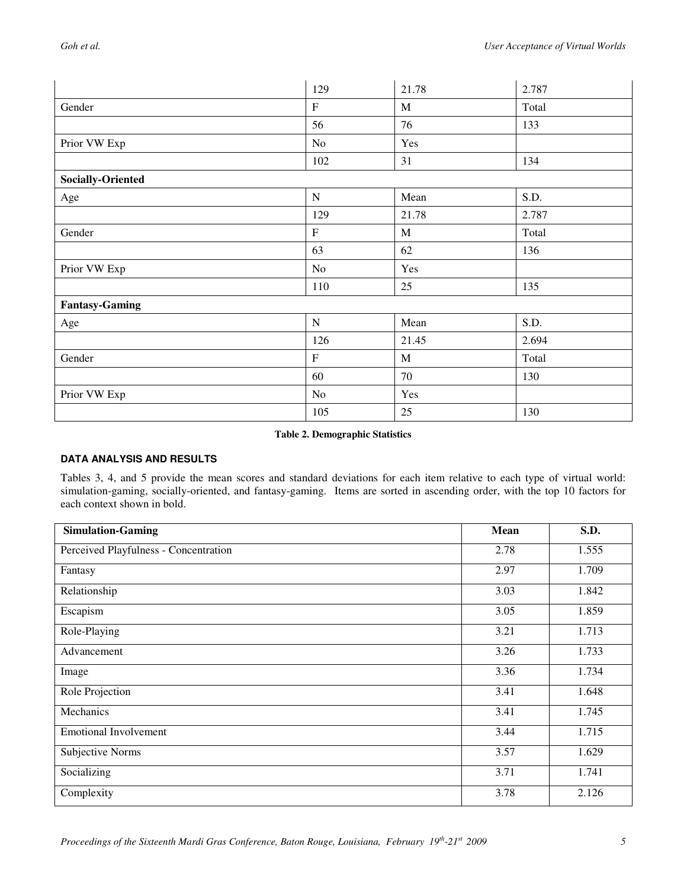|                          | 129         | 21.78       | 2.787 |
|--------------------------|-------------|-------------|-------|
| Gender                   | $\mathbf F$ | $\mathbf M$ | Total |
|                          | 56          | 76          | 133   |
| Prior VW Exp             | No          | Yes         |       |
|                          | 102         | 31          | 134   |
| <b>Socially-Oriented</b> |             |             |       |
| Age                      | ${\bf N}$   | Mean        | S.D.  |
|                          | 129         | 21.78       | 2.787 |
| Gender                   | $\mathbf F$ | M           | Total |
|                          | 63          | 62          | 136   |
| Prior VW Exp             | No          | Yes         |       |
|                          | 110         | 25          | 135   |
| <b>Fantasy-Gaming</b>    |             |             |       |
| Age                      | ${\bf N}$   | Mean        | S.D.  |
|                          | 126         | 21.45       | 2.694 |
| Gender                   | $\mathbf F$ | $\mathbf M$ | Total |
|                          | 60          | 70          | 130   |
| Prior VW Exp             | No          | Yes         |       |
|                          | 105         | 25          | 130   |

#### **Table 2. Demographic Statistics**

#### **DATA ANALYSIS AND RESULTS**

Tables 3, 4, and 5 provide the mean scores and standard deviations for each item relative to each type of virtual world: simulation-gaming, socially-oriented, and fantasy-gaming. Items are sorted in ascending order, with the top 10 factors for each context shown in bold.

| <b>Simulation-Gaming</b>              | Mean | S.D.  |
|---------------------------------------|------|-------|
| Perceived Playfulness - Concentration | 2.78 | 1.555 |
| Fantasy                               | 2.97 | 1.709 |
| Relationship                          | 3.03 | 1.842 |
| Escapism                              | 3.05 | 1.859 |
| Role-Playing                          | 3.21 | 1.713 |
| Advancement                           | 3.26 | 1.733 |
| Image                                 | 3.36 | 1.734 |
| Role Projection                       | 3.41 | 1.648 |
| Mechanics                             | 3.41 | 1.745 |
| <b>Emotional Involvement</b>          | 3.44 | 1.715 |
| Subjective Norms                      | 3.57 | 1.629 |
| Socializing                           | 3.71 | 1.741 |
| Complexity                            | 3.78 | 2.126 |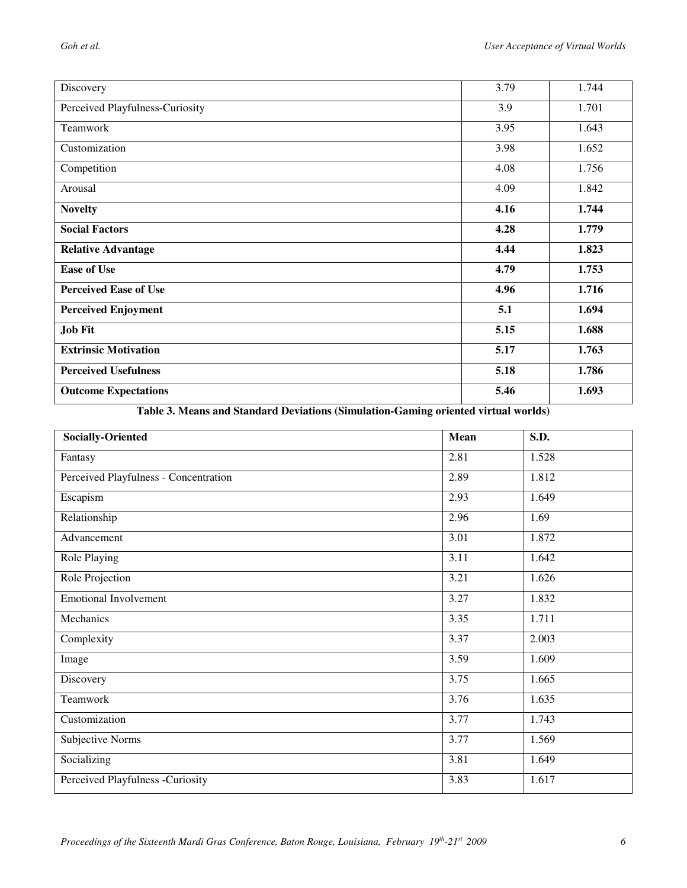| Discovery                       | 3.79 | 1.744 |
|---------------------------------|------|-------|
| Perceived Playfulness-Curiosity | 3.9  | 1.701 |
| Teamwork                        | 3.95 | 1.643 |
| Customization                   | 3.98 | 1.652 |
| Competition                     | 4.08 | 1.756 |
| Arousal                         | 4.09 | 1.842 |
| <b>Novelty</b>                  | 4.16 | 1.744 |
| <b>Social Factors</b>           | 4.28 | 1.779 |
| <b>Relative Advantage</b>       | 4.44 | 1.823 |
| <b>Ease of Use</b>              | 4.79 | 1.753 |
| <b>Perceived Ease of Use</b>    | 4.96 | 1.716 |
| <b>Perceived Enjoyment</b>      | 5.1  | 1.694 |
| <b>Job Fit</b>                  | 5.15 | 1.688 |
| <b>Extrinsic Motivation</b>     | 5.17 | 1.763 |
| <b>Perceived Usefulness</b>     | 5.18 | 1.786 |
| <b>Outcome Expectations</b>     | 5.46 | 1.693 |

**Table 3. Means and Standard Deviations (Simulation-Gaming oriented virtual worlds)** 

| <b>Socially-Oriented</b>              | Mean | S.D.              |
|---------------------------------------|------|-------------------|
| Fantasy                               | 2.81 | 1.528             |
| Perceived Playfulness - Concentration | 2.89 | 1.812             |
| Escapism                              | 2.93 | 1.649             |
| Relationship                          | 2.96 | $\overline{1.69}$ |
| Advancement                           | 3.01 | 1.872             |
| Role Playing                          | 3.11 | 1.642             |
| Role Projection                       | 3.21 | 1.626             |
| <b>Emotional Involvement</b>          | 3.27 | 1.832             |
| Mechanics                             | 3.35 | 1.711             |
| Complexity                            | 3.37 | 2.003             |
| Image                                 | 3.59 | 1.609             |
| Discovery                             | 3.75 | 1.665             |
| Teamwork                              | 3.76 | 1.635             |
| Customization                         | 3.77 | 1.743             |
| Subjective Norms                      | 3.77 | 1.569             |
| Socializing                           | 3.81 | 1.649             |
| Perceived Playfulness -Curiosity      | 3.83 | 1.617             |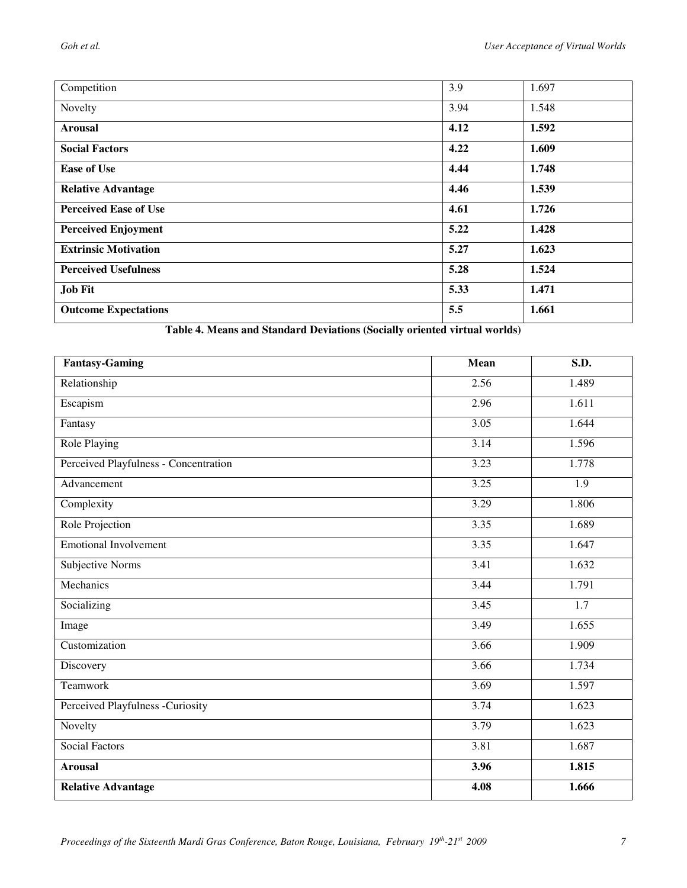| Competition                  | 3.9  | 1.697 |
|------------------------------|------|-------|
| Novelty                      | 3.94 | 1.548 |
| <b>Arousal</b>               | 4.12 | 1.592 |
| <b>Social Factors</b>        | 4.22 | 1.609 |
| <b>Ease of Use</b>           | 4.44 | 1.748 |
| <b>Relative Advantage</b>    | 4.46 | 1.539 |
| <b>Perceived Ease of Use</b> | 4.61 | 1.726 |
| <b>Perceived Enjoyment</b>   | 5.22 | 1.428 |
| <b>Extrinsic Motivation</b>  | 5.27 | 1.623 |
| <b>Perceived Usefulness</b>  | 5.28 | 1.524 |
| <b>Job Fit</b>               | 5.33 | 1.471 |
| <b>Outcome Expectations</b>  | 5.5  | 1.661 |

**Table 4. Means and Standard Deviations (Socially oriented virtual worlds)** 

| <b>Fantasy-Gaming</b>                 | Mean | S.D.  |
|---------------------------------------|------|-------|
| Relationship                          | 2.56 | 1.489 |
| Escapism                              | 2.96 | 1.611 |
| Fantasy                               | 3.05 | 1.644 |
| <b>Role Playing</b>                   | 3.14 | 1.596 |
| Perceived Playfulness - Concentration | 3.23 | 1.778 |
| Advancement                           | 3.25 | 1.9   |
| Complexity                            | 3.29 | 1.806 |
| Role Projection                       | 3.35 | 1.689 |
| <b>Emotional Involvement</b>          | 3.35 | 1.647 |
| Subjective Norms                      | 3.41 | 1.632 |
| Mechanics                             | 3.44 | 1.791 |
| Socializing                           | 3.45 | 1.7   |
| Image                                 | 3.49 | 1.655 |
| Customization                         | 3.66 | 1.909 |
| Discovery                             | 3.66 | 1.734 |
| Teamwork                              | 3.69 | 1.597 |
| Perceived Playfulness -Curiosity      | 3.74 | 1.623 |
| Novelty                               | 3.79 | 1.623 |
| <b>Social Factors</b>                 | 3.81 | 1.687 |
| <b>Arousal</b>                        | 3.96 | 1.815 |
| <b>Relative Advantage</b>             | 4.08 | 1.666 |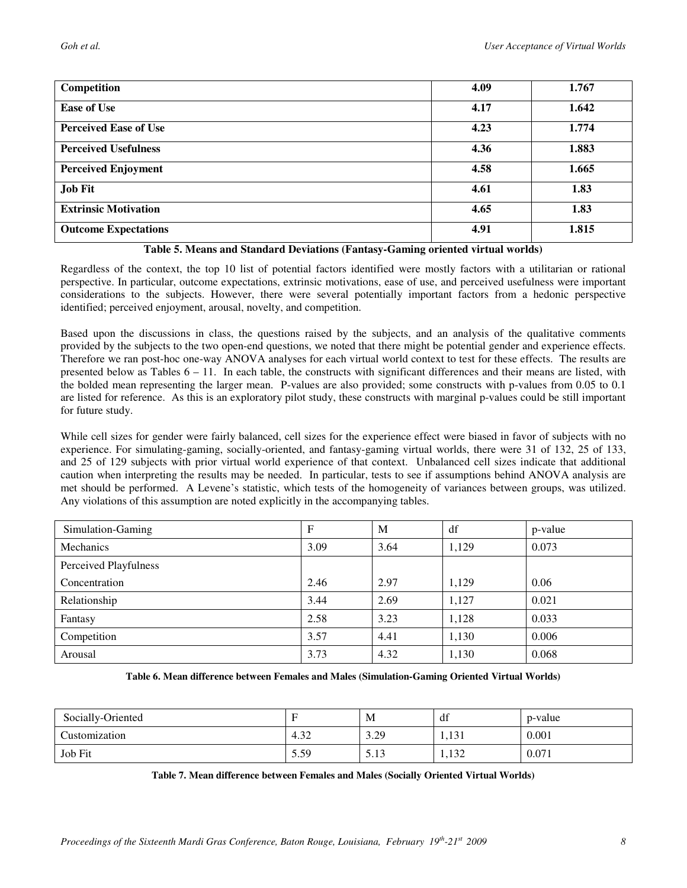| Competition                  | 4.09 | 1.767 |
|------------------------------|------|-------|
| <b>Ease of Use</b>           | 4.17 | 1.642 |
| <b>Perceived Ease of Use</b> | 4.23 | 1.774 |
| <b>Perceived Usefulness</b>  | 4.36 | 1.883 |
| <b>Perceived Enjoyment</b>   | 4.58 | 1.665 |
| <b>Job Fit</b>               | 4.61 | 1.83  |
| <b>Extrinsic Motivation</b>  | 4.65 | 1.83  |
| <b>Outcome Expectations</b>  | 4.91 | 1.815 |

#### **Table 5. Means and Standard Deviations (Fantasy-Gaming oriented virtual worlds)**

Regardless of the context, the top 10 list of potential factors identified were mostly factors with a utilitarian or rational perspective. In particular, outcome expectations, extrinsic motivations, ease of use, and perceived usefulness were important considerations to the subjects. However, there were several potentially important factors from a hedonic perspective identified; perceived enjoyment, arousal, novelty, and competition.

Based upon the discussions in class, the questions raised by the subjects, and an analysis of the qualitative comments provided by the subjects to the two open-end questions, we noted that there might be potential gender and experience effects. Therefore we ran post-hoc one-way ANOVA analyses for each virtual world context to test for these effects. The results are presented below as Tables  $6 - 11$ . In each table, the constructs with significant differences and their means are listed, with the bolded mean representing the larger mean. P-values are also provided; some constructs with p-values from 0.05 to 0.1 are listed for reference. As this is an exploratory pilot study, these constructs with marginal p-values could be still important for future study.

While cell sizes for gender were fairly balanced, cell sizes for the experience effect were biased in favor of subjects with no experience. For simulating-gaming, socially-oriented, and fantasy-gaming virtual worlds, there were 31 of 132, 25 of 133, and 25 of 129 subjects with prior virtual world experience of that context. Unbalanced cell sizes indicate that additional caution when interpreting the results may be needed. In particular, tests to see if assumptions behind ANOVA analysis are met should be performed. A Levene's statistic, which tests of the homogeneity of variances between groups, was utilized. Any violations of this assumption are noted explicitly in the accompanying tables.

| Simulation-Gaming     | F    | M    | df    | p-value |
|-----------------------|------|------|-------|---------|
| Mechanics             | 3.09 | 3.64 | 1.129 | 0.073   |
| Perceived Playfulness |      |      |       |         |
| Concentration         | 2.46 | 2.97 | 1.129 | 0.06    |
| Relationship          | 3.44 | 2.69 | 1,127 | 0.021   |
| Fantasy               | 2.58 | 3.23 | 1,128 | 0.033   |
| Competition           | 3.57 | 4.41 | 1,130 | 0.006   |
| Arousal               | 3.73 | 4.32 | 1,130 | 0.068   |

#### **Table 6. Mean difference between Females and Males (Simulation-Gaming Oriented Virtual Worlds)**

| Socially-Oriented |      | M     | df                  | p-value |
|-------------------|------|-------|---------------------|---------|
| Customization     | 4.32 | 3.29  | $1 \cap 1$<br>1,191 | 0.001   |
| Job Fit           | 5.59 | ر ۲۰۱ | 122<br>1,134        | 0.071   |

**Table 7. Mean difference between Females and Males (Socially Oriented Virtual Worlds)**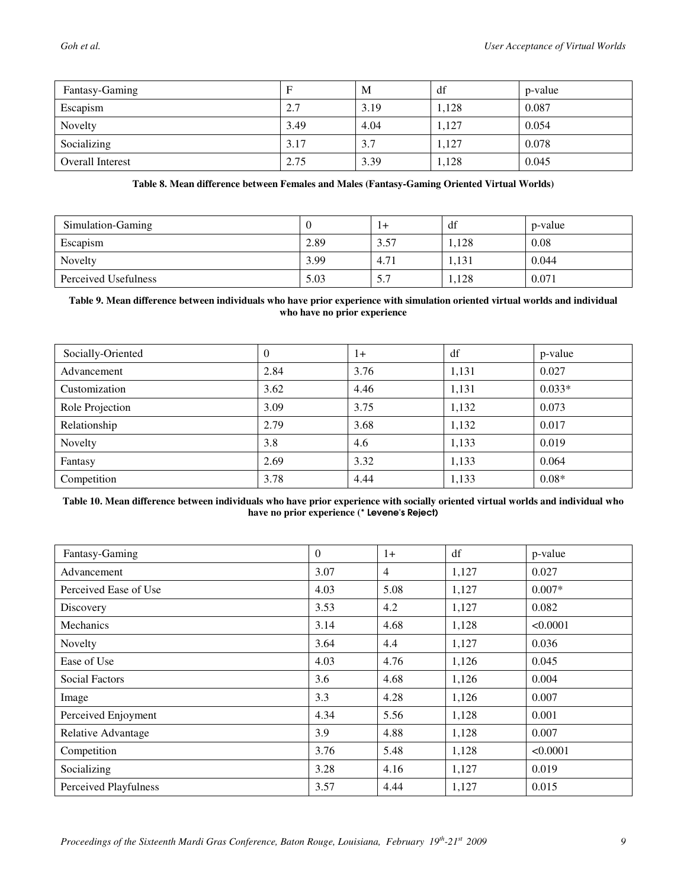| Fantasy-Gaming          | F    | M    | df    | p-value |
|-------------------------|------|------|-------|---------|
| Escapism                | 2.7  | 3.19 | 1,128 | 0.087   |
| Novelty                 | 3.49 | 4.04 | 1,127 | 0.054   |
| Socializing             | 3.17 | 3.7  | 1,127 | 0.078   |
| <b>Overall Interest</b> | 2.75 | 3.39 | 1,128 | 0.045   |

#### **Table 8. Mean difference between Females and Males (Fantasy-Gaming Oriented Virtual Worlds)**

| Simulation-Gaming    |      | $1+$ | df    | p-value |
|----------------------|------|------|-------|---------|
| Escapism             | 2.89 | 3.57 | 1.128 | 0.08    |
| Novelty              | 3.99 | 4.71 | 1.131 | 0.044   |
| Perceived Usefulness | 5.03 | 5.7  | 1,128 | 0.071   |

#### **Table 9. Mean difference between individuals who have prior experience with simulation oriented virtual worlds and individual who have no prior experience**

| Socially-Oriented | $\theta$ | 1+   | df    | p-value  |
|-------------------|----------|------|-------|----------|
| Advancement       | 2.84     | 3.76 | 1,131 | 0.027    |
| Customization     | 3.62     | 4.46 | 1,131 | $0.033*$ |
| Role Projection   | 3.09     | 3.75 | 1,132 | 0.073    |
| Relationship      | 2.79     | 3.68 | 1,132 | 0.017    |
| Novelty           | 3.8      | 4.6  | 1,133 | 0.019    |
| Fantasy           | 2.69     | 3.32 | 1,133 | 0.064    |
| Competition       | 3.78     | 4.44 | 1,133 | $0.08*$  |

#### **Table 10. Mean difference between individuals who have prior experience with socially oriented virtual worlds and individual who have no prior experience (**\* Levene's Reject)

| Fantasy-Gaming               | $\overline{0}$ | $1+$           | df    | p-value  |
|------------------------------|----------------|----------------|-------|----------|
| Advancement                  | 3.07           | $\overline{4}$ | 1,127 | 0.027    |
| Perceived Ease of Use        | 4.03           | 5.08           | 1,127 | $0.007*$ |
| Discovery                    | 3.53           | 4.2            | 1,127 | 0.082    |
| Mechanics                    | 3.14           | 4.68           | 1,128 | < 0.0001 |
| Novelty                      | 3.64           | 4.4            | 1,127 | 0.036    |
| Ease of Use                  | 4.03           | 4.76           | 1,126 | 0.045    |
| <b>Social Factors</b>        | 3.6            | 4.68           | 1,126 | 0.004    |
| Image                        | 3.3            | 4.28           | 1,126 | 0.007    |
| Perceived Enjoyment          | 4.34           | 5.56           | 1,128 | 0.001    |
| Relative Advantage           | 3.9            | 4.88           | 1,128 | 0.007    |
| Competition                  | 3.76           | 5.48           | 1,128 | < 0.0001 |
| Socializing                  | 3.28           | 4.16           | 1,127 | 0.019    |
| <b>Perceived Playfulness</b> | 3.57           | 4.44           | 1,127 | 0.015    |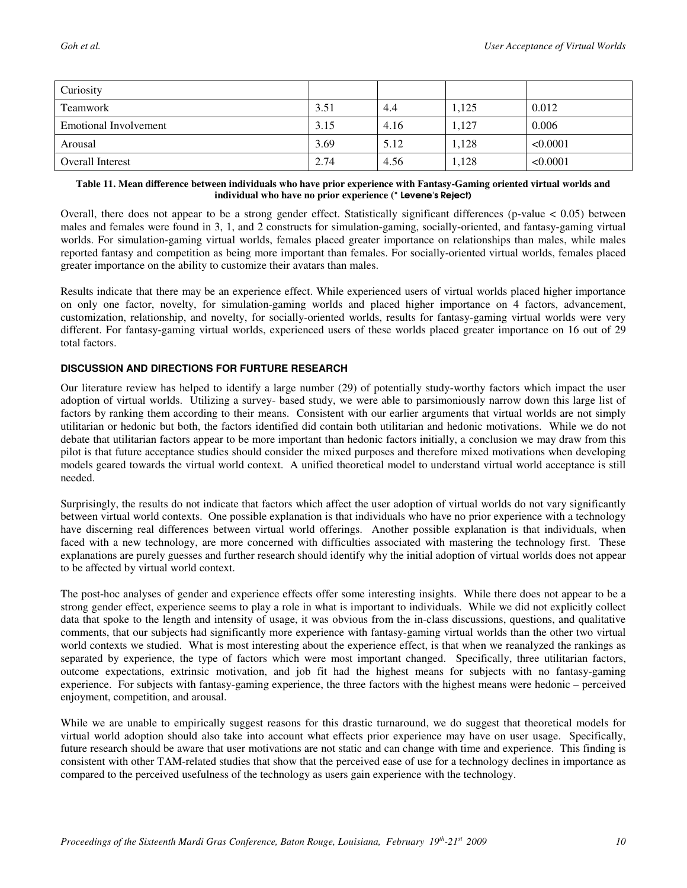| Curiosity               |      |      |       |          |
|-------------------------|------|------|-------|----------|
| Teamwork                | 3.51 | 4.4  | 1,125 | 0.012    |
| Emotional Involvement   | 3.15 | 4.16 | 1,127 | 0.006    |
| Arousal                 | 3.69 | 5.12 | 1,128 | < 0.0001 |
| <b>Overall Interest</b> | 2.74 | 4.56 | 1,128 | < 0.0001 |

#### **Table 11. Mean difference between individuals who have prior experience with Fantasy-Gaming oriented virtual worlds and individual who have no prior experience (**\* Levene's Reject)

Overall, there does not appear to be a strong gender effect. Statistically significant differences (p-value  $< 0.05$ ) between males and females were found in 3, 1, and 2 constructs for simulation-gaming, socially-oriented, and fantasy-gaming virtual worlds. For simulation-gaming virtual worlds, females placed greater importance on relationships than males, while males reported fantasy and competition as being more important than females. For socially-oriented virtual worlds, females placed greater importance on the ability to customize their avatars than males.

Results indicate that there may be an experience effect. While experienced users of virtual worlds placed higher importance on only one factor, novelty, for simulation-gaming worlds and placed higher importance on 4 factors, advancement, customization, relationship, and novelty, for socially-oriented worlds, results for fantasy-gaming virtual worlds were very different. For fantasy-gaming virtual worlds, experienced users of these worlds placed greater importance on 16 out of 29 total factors.

#### **DISCUSSION AND DIRECTIONS FOR FURTURE RESEARCH**

Our literature review has helped to identify a large number (29) of potentially study-worthy factors which impact the user adoption of virtual worlds. Utilizing a survey- based study, we were able to parsimoniously narrow down this large list of factors by ranking them according to their means. Consistent with our earlier arguments that virtual worlds are not simply utilitarian or hedonic but both, the factors identified did contain both utilitarian and hedonic motivations. While we do not debate that utilitarian factors appear to be more important than hedonic factors initially, a conclusion we may draw from this pilot is that future acceptance studies should consider the mixed purposes and therefore mixed motivations when developing models geared towards the virtual world context. A unified theoretical model to understand virtual world acceptance is still needed.

Surprisingly, the results do not indicate that factors which affect the user adoption of virtual worlds do not vary significantly between virtual world contexts. One possible explanation is that individuals who have no prior experience with a technology have discerning real differences between virtual world offerings. Another possible explanation is that individuals, when faced with a new technology, are more concerned with difficulties associated with mastering the technology first. These explanations are purely guesses and further research should identify why the initial adoption of virtual worlds does not appear to be affected by virtual world context.

The post-hoc analyses of gender and experience effects offer some interesting insights. While there does not appear to be a strong gender effect, experience seems to play a role in what is important to individuals. While we did not explicitly collect data that spoke to the length and intensity of usage, it was obvious from the in-class discussions, questions, and qualitative comments, that our subjects had significantly more experience with fantasy-gaming virtual worlds than the other two virtual world contexts we studied. What is most interesting about the experience effect, is that when we reanalyzed the rankings as separated by experience, the type of factors which were most important changed. Specifically, three utilitarian factors, outcome expectations, extrinsic motivation, and job fit had the highest means for subjects with no fantasy-gaming experience. For subjects with fantasy-gaming experience, the three factors with the highest means were hedonic – perceived enjoyment, competition, and arousal.

While we are unable to empirically suggest reasons for this drastic turnaround, we do suggest that theoretical models for virtual world adoption should also take into account what effects prior experience may have on user usage. Specifically, future research should be aware that user motivations are not static and can change with time and experience. This finding is consistent with other TAM-related studies that show that the perceived ease of use for a technology declines in importance as compared to the perceived usefulness of the technology as users gain experience with the technology.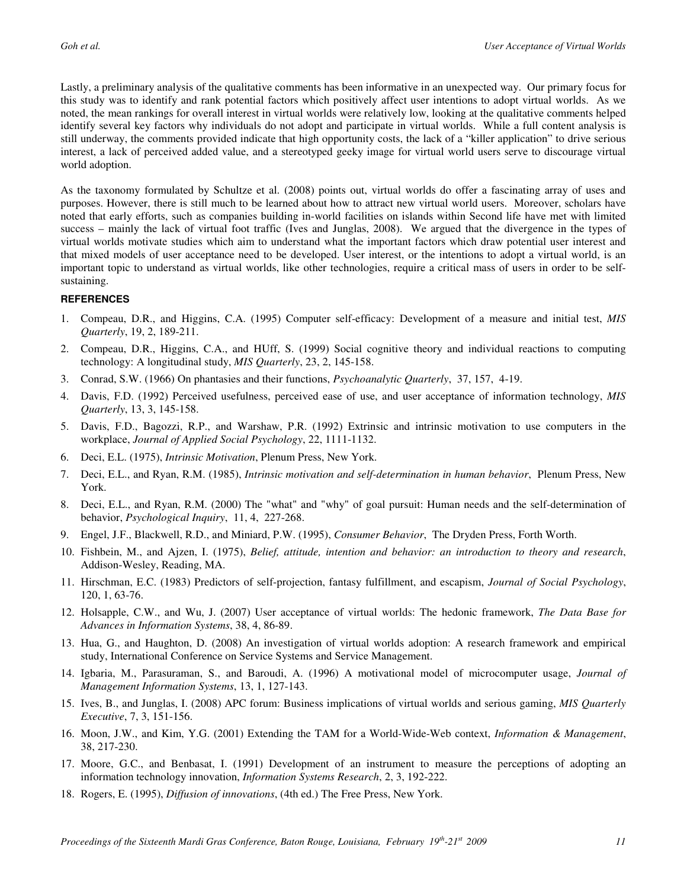Lastly, a preliminary analysis of the qualitative comments has been informative in an unexpected way. Our primary focus for this study was to identify and rank potential factors which positively affect user intentions to adopt virtual worlds. As we noted, the mean rankings for overall interest in virtual worlds were relatively low, looking at the qualitative comments helped identify several key factors why individuals do not adopt and participate in virtual worlds. While a full content analysis is still underway, the comments provided indicate that high opportunity costs, the lack of a "killer application" to drive serious interest, a lack of perceived added value, and a stereotyped geeky image for virtual world users serve to discourage virtual world adoption.

As the taxonomy formulated by Schultze et al. (2008) points out, virtual worlds do offer a fascinating array of uses and purposes. However, there is still much to be learned about how to attract new virtual world users. Moreover, scholars have noted that early efforts, such as companies building in-world facilities on islands within Second life have met with limited success – mainly the lack of virtual foot traffic (Ives and Junglas, 2008). We argued that the divergence in the types of virtual worlds motivate studies which aim to understand what the important factors which draw potential user interest and that mixed models of user acceptance need to be developed. User interest, or the intentions to adopt a virtual world, is an important topic to understand as virtual worlds, like other technologies, require a critical mass of users in order to be selfsustaining.

#### **REFERENCES**

- 1. Compeau, D.R., and Higgins, C.A. (1995) Computer self-efficacy: Development of a measure and initial test, *MIS Quarterly*, 19, 2, 189-211.
- 2. Compeau, D.R., Higgins, C.A., and HUff, S. (1999) Social cognitive theory and individual reactions to computing technology: A longitudinal study, *MIS Quarterly*, 23, 2, 145-158.
- 3. Conrad, S.W. (1966) On phantasies and their functions, *Psychoanalytic Quarterly*, 37, 157, 4-19.
- 4. Davis, F.D. (1992) Perceived usefulness, perceived ease of use, and user acceptance of information technology, *MIS Quarterly*, 13, 3, 145-158.
- 5. Davis, F.D., Bagozzi, R.P., and Warshaw, P.R. (1992) Extrinsic and intrinsic motivation to use computers in the workplace, *Journal of Applied Social Psychology*, 22, 1111-1132.
- 6. Deci, E.L. (1975), *Intrinsic Motivation*, Plenum Press, New York.
- 7. Deci, E.L., and Ryan, R.M. (1985), *Intrinsic motivation and self-determination in human behavior*, Plenum Press, New York.
- 8. Deci, E.L., and Ryan, R.M. (2000) The "what" and "why" of goal pursuit: Human needs and the self-determination of behavior, *Psychological Inquiry*, 11, 4, 227-268.
- 9. Engel, J.F., Blackwell, R.D., and Miniard, P.W. (1995), *Consumer Behavior*, The Dryden Press, Forth Worth.
- 10. Fishbein, M., and Ajzen, I. (1975), *Belief, attitude, intention and behavior: an introduction to theory and research*, Addison-Wesley, Reading, MA.
- 11. Hirschman, E.C. (1983) Predictors of self-projection, fantasy fulfillment, and escapism, *Journal of Social Psychology*, 120, 1, 63-76.
- 12. Holsapple, C.W., and Wu, J. (2007) User acceptance of virtual worlds: The hedonic framework, *The Data Base for Advances in Information Systems*, 38, 4, 86-89.
- 13. Hua, G., and Haughton, D. (2008) An investigation of virtual worlds adoption: A research framework and empirical study, International Conference on Service Systems and Service Management.
- 14. Igbaria, M., Parasuraman, S., and Baroudi, A. (1996) A motivational model of microcomputer usage, *Journal of Management Information Systems*, 13, 1, 127-143.
- 15. Ives, B., and Junglas, I. (2008) APC forum: Business implications of virtual worlds and serious gaming, *MIS Quarterly Executive*, 7, 3, 151-156.
- 16. Moon, J.W., and Kim, Y.G. (2001) Extending the TAM for a World-Wide-Web context, *Information & Management*, 38, 217-230.
- 17. Moore, G.C., and Benbasat, I. (1991) Development of an instrument to measure the perceptions of adopting an information technology innovation, *Information Systems Research*, 2, 3, 192-222.
- 18. Rogers, E. (1995), *Diffusion of innovations*, (4th ed.) The Free Press, New York.